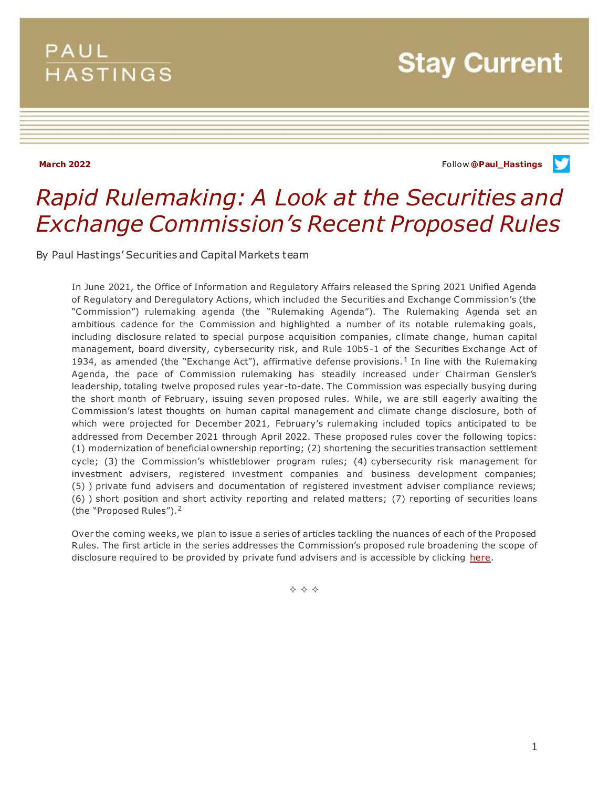## **PAUL HASTINGS**

**Stay Current** 

**March 2022** Follow **[@Paul\\_Hastings](http://twitter.com/Paul_Hastings)**v

## *Rapid Rulemaking: A Look at the Securities and Exchange Commission's Recent Proposed Rules*

By Paul Hastings' Securities and Capital Markets team

In June 2021, the Office of Information and Regulatory Affairs released the Spring 2021 Unified Agenda of Regulatory and Deregulatory Actions, which included the Securities and Exchange Commission's (the "Commission") rulemaking agenda (the "Rulemaking Agenda"). The Rulemaking Agenda set an ambitious cadence for the Commission and highlighted a number of its notable rulemaking goals, including disclosure related to special purpose acquisition companies, climate change, human capital management, board diversity, cybersecurity risk, and Rule 10b5-1 of the Securities Exchange Act of 1934, as amended (the "Exchange Act"), affirmative defense provisions.<sup>1</sup> In line with the Rulemaking Agenda, the pace of Commission rulemaking has steadily increased under Chairman Gensler's leadership, totaling twelve proposed rules year-to-date. The Commission was especially busying during the short month of February, issuing seven proposed rules. While, we are still eagerly awaiting the Commission's latest thoughts on human capital management and climate change disclosure, both of which were projected for December 2021, February's rulemaking included topics anticipated to be addressed from December 2021 through April 2022. These proposed rules cover the following topics: (1) modernization of beneficial ownership reporting; (2) shortening the securities transaction settlement cycle; (3) the Commission's whistleblower program rules; (4) cybersecurity risk management for investment advisers, registered investment companies and business development companies; (5) ) private fund advisers and documentation of registered investment adviser compliance reviews; (6) ) short position and short activity reporting and related matters; (7) reporting of securities loans (the "Proposed Rules").<sup>2</sup>

Over the coming weeks, we plan to issue a series of articles tackling the nuances of each of the Proposed Rules. The first article in the series addresses the Commission's proposed rule broadening the scope of disclosure required to be provided by private fund advisers and is accessible by clicking [here.](https://www.paulhastings.com/insights/client-alerts/sec-proposes-broad-regulations-governing-all-private-fund-advisers)

**◆ ◆ ◆**